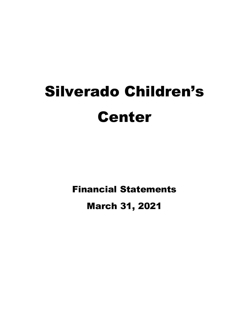# Silverado Children's Center

Financial Statements

March 31, 2021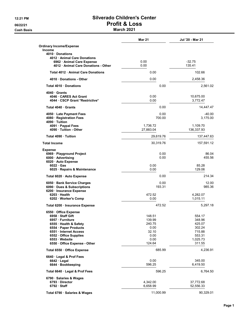**Cash Basis** Cash Basis **March 2021** 

|                                                        | <b>Mar 21</b> | Jul '20 - Mar 21 |
|--------------------------------------------------------|---------------|------------------|
| <b>Ordinary Income/Expense</b>                         |               |                  |
| <b>Income</b>                                          |               |                  |
| 4010 Donations                                         |               |                  |
| 4012 Animal Care Donations<br>6962 Animal Care Expense | 0.00          | $-32.75$         |
| 4012 · Animal Care Donations - Other                   | 0.00          | 135.41           |
|                                                        |               |                  |
| Total 4012 Animal Care Donations                       | 0.00          | 102.66           |
| 4010 Donations - Other                                 | 0.00          | 2,458.36         |
| Total 4010 Donations                                   | 0.00          | 2,561.02         |
| 4040 Grants                                            |               |                  |
| 4046 CARES Act Grant                                   | 0.00          | 10,675.00        |
| 4044 CSCP Grant *Restrictive*                          | 0.00          | 3,772.47         |
| Total 4040 Grants                                      | 0.00          | 14,447.47        |
| 4050 Late Payment Fees                                 | 0.00          | $-40.00$         |
| 4080 Registration Fees                                 | 700.00        | 3,175.00         |
| 4090 · Tuition                                         |               |                  |
| 4091 · Paypal Fees                                     | 1,736.72      | 1,109.70         |
| 4090 Tuition - Other                                   | 27,883.04     | 136,337.93       |
| Total 4090 Tuition                                     | 29,619.76     | 137,447.63       |
| <b>Total Income</b>                                    | 30,319.76     | 157,591.12       |
| <b>Expense</b>                                         |               |                  |
| 6969 · Playground Project                              | 0.00          | 86.04            |
| 6000 Advertising                                       | 0.00          | 455.56           |
| 6020 Auto Expense                                      |               |                  |
| $6022 \cdot Gas$                                       | 0.00          | 85.28            |
| 6025 · Repairs & Maintenance                           | 0.00          | 129.06           |
| Total 6020 · Auto Expense                              | 0.00          | 214.34           |
| 6050 · Bank Service Charges                            | 0.00          | 12.00            |
| 6090 Dues & Subscriptions                              | 193.31        | 985.36           |
| 6200 · Insurance Expense                               |               |                  |
| 6203 Health                                            | 472.52        | 4,282.07         |
| 6202 · Worker's Comp                                   | 0.00          | 1,015.11         |
| Total 6200 · Insurance Expense                         | 472.52        | 5,297.18         |
| 6550 Office Expense                                    |               |                  |
| 6958 Staff Gift                                        | 148.51        | 554.17           |
| 6957 · Furniture                                       | 139.99        | 348.96           |
| 6555 · Health & Safety                                 | 240.75        | 425.07           |
| 6554 · Paper Products<br>6551 Internet Access          | 0.00<br>32.10 | 302.24<br>715.88 |
| 6552 Office Supplies                                   | 0.00          | 553.31           |
| 6553 Website                                           | 0.00          | 1,025.73         |
| 6550 Office Expense - Other                            | 124.64        | 311.55           |
| Total 6550 · Office Expense                            | 685.99        | 4,236.91         |
|                                                        |               |                  |
| 6640 · Legal & Prof Fees                               |               |                  |
| $6642 \cdot$ Legal                                     | 0.00          | 345.00           |
| 6644 · Bookkeeping                                     | 596.25        | 6,419.50         |
| Total 6640 · Legal & Prof Fees                         | 596.25        | 6,764.50         |
| 6790 · Salaries & Wages                                |               |                  |
| 6793 Director                                          | 4,342.00      | 37,772.68        |
| $6792 \cdot$ Staff                                     | 6,658.99      | 52,556.33        |
| Total 6790 · Salaries & Wages                          | 11,000.99     | 90,329.01        |
|                                                        |               |                  |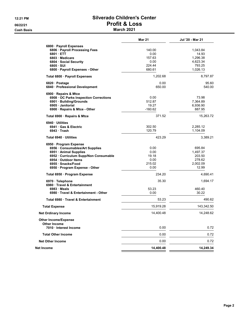#### 12:21 PM **Silverado Children's Center** 06/22/21 Profit & Loss **Cash Basis** Cash Basis **March 2021**

|                                      | <b>Mar 21</b> | Jul '20 - Mar 21 |
|--------------------------------------|---------------|------------------|
| 6800 · Payroll Expenses              |               |                  |
| 6806 · Payroll Processing Fees       | 140.00        | 1,043.84         |
| 6801 ETT                             | 0.00          | 14.93            |
| 6803 Medicare                        | 157.63        | 1.296.38         |
| 6804 · Social Security               | 0.00          | 4,623.34         |
|                                      | 224.44        |                  |
| 6805 · SUI                           |               | 793.25           |
| 6800 · Payroll Expenses - Other      | 680.61        | 1,026.13         |
| Total 6800 · Payroll Expenses        | 1.202.68      | 8,797.87         |
| 6820 Postage                         | 0.00          | 95.60            |
| 6840 · Professional Development      | 650.00        | 540.00           |
| 6900 · Repairs & Mtce                |               |                  |
| 6908 OC Parks Inspection Corrections | 0.00          | 73.98            |
| 6901 · Building/Grounds              | 512.87        | 7,364.89         |
| 6905 · Janitorial                    | 19.27         | 6,936.90         |
| 6900 · Repairs & Mtce - Other        | $-160.62$     | 887.95           |
| Total 6900 · Repairs & Mtce          | 371.52        | 15,263.72        |
| 6940 Utilities                       |               |                  |
| 6941 Gas & Electric                  | 302.50        | 2,285.12         |
| 6943 Trash                           | 120.79        | 1,104.09         |
| Total 6940 Utilities                 | 423.29        | 3,389.21         |
| 6950 Program Expense                 |               |                  |
| 6956 · Consumables/Art Supplies      | 0.00          | 695.84           |
|                                      |               |                  |
| 6951 · Animal Supplies               | 0.00          | 1,497.37         |
| 6952 Curriculum Supp/Non Consumable  | 19.18         | 203.50           |
| 6954 Outdoor Items                   | 0.00          | 278.62           |
| 6955 Snacks/Food                     | 215.02        | 2,002.09         |
| 6950 · Program Expense - Other       | 0.00          | 12.99            |
| Total 6950 · Program Expense         | 234.20        | 4,690.41         |
| 6970 · Telephone                     | 35.30         | 1,694.17         |
| 6980 Travel & Entertainment          |               |                  |
| $6983 \cdot Meals$                   | 53.23         | 460.40           |
| 6980 Travel & Entertainment - Other  | 0.00          | 30.22            |
| Total 6980 Travel & Entertainment    | 53.23         | 490.62           |
| <b>Total Expense</b>                 | 15,919.28     | 143,342.50       |
| <b>Net Ordinary Income</b>           | 14,400.48     | 14,248.62        |
| <b>Other Income/Expense</b>          |               |                  |
| <b>Other Income</b>                  |               |                  |
| 7010 Interest Income                 | 0.00          | 0.72             |
| <b>Total Other Income</b>            | 0.00          | 0.72             |
| <b>Net Other Income</b>              | 0.00          | 0.72             |
| Net Income                           | 14,400.48     | 14,249.34        |
|                                      |               |                  |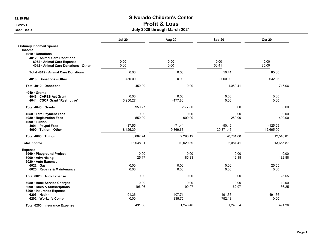Cash Basis July 2020 through March 2021

|                                                | <b>Jul 20</b> | Aug 20    | Sep 20    | <b>Oct 20</b> |
|------------------------------------------------|---------------|-----------|-----------|---------------|
| <b>Ordinary Income/Expense</b>                 |               |           |           |               |
| <b>Income</b>                                  |               |           |           |               |
| 4010 Donations<br>4012 · Animal Care Donations |               |           |           |               |
| 6962 · Animal Care Expense                     | 0.00          | 0.00      | 0.00      | 0.00          |
| 4012 Animal Care Donations - Other             | 0.00          | 0.00      | 50.41     | 85.00         |
| Total 4012 Animal Care Donations               | 0.00          | 0.00      | 50.41     | 85.00         |
|                                                |               |           |           |               |
| 4010 Donations - Other                         | 450.00        | 0.00      | 1,000.00  | 632.06        |
| Total 4010 Donations                           | 450.00        | 0.00      | 1,050.41  | 717.06        |
| 4040 Grants                                    |               |           |           |               |
| 4046 CARES Act Grant                           | 0.00          | 0.00      | 0.00      | 0.00          |
| 4044 · CSCP Grant *Restrictive*                | 3,950.27      | $-177.80$ | 0.00      | 0.00          |
| Total 4040 Grants                              | 3,950.27      | $-177.80$ | 0.00      | 0.00          |
| 4050 · Late Payment Fees                       | 0.00          | 0.00      | 0.00      | 0.00          |
| 4080 · Registration Fees                       | 550.00        | 900.00    | 250.00    | 400.00        |
| 4090 · Tuition                                 |               |           |           |               |
| 4091 Paypal Fees                               | $-37.55$      | $-71.44$  | $-90.46$  | $-125.09$     |
| 4090 · Tuition - Other                         | 8,125.29      | 9,369.63  | 20,871.46 | 12,665.90     |
| Total 4090 · Tuition                           | 8,087.74      | 9,298.19  | 20,781.00 | 12,540.81     |
| <b>Total Income</b>                            | 13,038.01     | 10,020.39 | 22,081.41 | 13,657.87     |
| <b>Expense</b>                                 |               |           |           |               |
| 6969 · Playground Project                      | 0.00          | 0.00      | 0.00      | 0.00          |
| 6000 · Advertising                             | 25.17         | 185.33    | 112.18    | 132.88        |
| 6020 Auto Expense<br>$6022 \cdot Gas$          | 0.00          | 0.00      | 0.00      | 25.55         |
| 6025 · Repairs & Maintenance                   | 0.00          | 0.00      | 0.00      | 0.00          |
| Total 6020 · Auto Expense                      | 0.00          | 0.00      | 0.00      | 25.55         |
| 6050 · Bank Service Charges                    | 0.00          | 0.00      | 0.00      | 12.00         |
| 6090 Dues & Subscriptions                      | 196.96        | 90.97     | 62.97     | 86.25         |
| 6200 · Insurance Expense                       |               |           |           |               |
| 6203 · Health                                  | 491.36        | 407.71    | 491.36    | 491.36        |
| 6202 · Worker's Comp                           | 0.00          | 835.75    | 752.18    | 0.00          |
| Total 6200 Insurance Expense                   | 491.36        | 1,243.46  | 1,243.54  | 491.36        |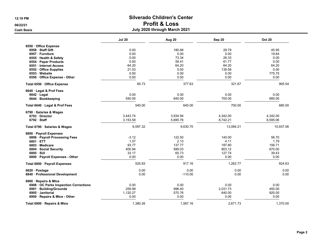|                                      | <b>Jul 20</b> | Aug 20    | Sep 20    | <b>Oct 20</b> |
|--------------------------------------|---------------|-----------|-----------|---------------|
| 6550 Office Expense                  |               |           |           |               |
| 6958 Staff Gift                      | 0.00          | 180.68    | 29.79     | 45.95         |
| 6957 Furniture                       | 0.00          | 0.00      | 0.00      | 19.64         |
| 6555 · Health & Safety               | 0.00          | 73.34     | 26.33     | 0.00          |
| 6554 · Paper Products                | 0.00          | 59.41     | 61.77     | 0.00          |
| 6551 Internet Access                 | 64.20         | 64.20     | 64.20     | 64.20         |
| 6552 · Office Supplies               | 21.53         | 0.00      | 139.58    | 0.00          |
| 6553 Website                         | 0.00          | 0.00      | 0.00      | 775.75        |
| 6550 · Office Expense - Other        | 0.00          | 0.00      | 0.00      | 0.00          |
| Total 6550 · Office Expense          | 85.73         | 377.63    | 321.67    | 905.54        |
| 6640 · Legal & Prof Fees             |               |           |           |               |
| 6642 · Legal                         | 0.00          | 0.00      | 0.00      | 0.00          |
| 6644 · Bookkeeping                   | 540.00        | 640.00    | 700.00    | 680.00        |
| Total 6640 · Legal & Prof Fees       | 540.00        | 640.00    | 700.00    | 680.00        |
| 6790 · Salaries & Wages              |               |           |           |               |
| 6793 Director                        | 3,443.74      | 3,934.94  | 4,342.00  | 4,342.00      |
| 6792 Staff                           | 3,153.58      | 5,695.76  | 8,742.21  | 6,595.06      |
| Total 6790 · Salaries & Wages        | 6,597.32      | 9,630.70  | 13,084.21 | 10,937.06     |
| 6800 · Payroll Expenses              |               |           |           |               |
| 6806 · Payroll Processing Fees       | $-3.12$       | 122.50    | 140.00    | 56.70         |
| 6801 · ETT                           | 1.07          | 2.13      | 4.11      | 1.79          |
| 6803 Medicare                        | 93.77         | 137.77    | 187.80    | 156.71        |
| 6804 · Social Security               | 400.94        | 589.03    | 803.12    | 670.00        |
| $6805 \cdot SUI$                     | 33.17         | 65.73     | 127.74    | 39.43         |
| 6800 · Payroll Expenses - Other      | 0.00          | 0.00      | 0.00      | 0.00          |
| Total 6800 · Payroll Expenses        | 525.83        | 917.16    | 1,262.77  | 924.63        |
| 6820 · Postage                       | 0.00          | 0.00      | 0.00      | 0.00          |
| 6840 · Professional Development      | 0.00          | $-110.00$ | 0.00      | 0.00          |
| 6900 · Repairs & Mtce                |               |           |           |               |
| 6908 OC Parks Inspection Corrections | 0.00          | 0.00      | 0.00      | 0.00          |
| 6901 · Building/Grounds              | 259.99        | 996.40    | 2,031.73  | 450.00        |
| 6905 Janitorial                      | 1,120.27      | 570.76    | 640.00    | 920.00        |
| 6900 · Repairs & Mtce - Other        | 0.00          | 0.00      | 0.00      | 0.00          |
| Total 6900 · Repairs & Mtce          | 1,380.26      | 1,567.16  | 2,671.73  | 1,370.00      |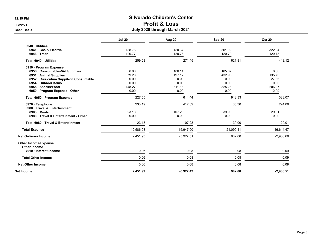#### Cash Basis July 2020 through March 2021

|                                                    | <b>Jul 20</b> | Aug 20      | Sep 20    | <b>Oct 20</b> |
|----------------------------------------------------|---------------|-------------|-----------|---------------|
| 6940 Utilities                                     |               |             |           |               |
| 6941 Gas & Electric                                | 138.76        | 150.67      | 501.02    | 322.34        |
| $6943$ Trash                                       | 120.77        | 120.78      | 120.79    | 120.78        |
| Total 6940 · Utilities                             | 259.53        | 271.45      | 621.81    | 443.12        |
| 6950 · Program Expense                             |               |             |           |               |
| 6956 Consumables/Art Supplies                      | 0.00          | 106.14      | 185.07    | 0.00          |
| 6951 · Animal Supplies                             | 79.28         | 197.12      | 432.98    | 135.75        |
| 6952 · Curriculum Supp/Non Consumable              | 0.00          | 0.00        | 0.00      | 27.36         |
| 6954 · Outdoor Items                               | 0.00          | 0.00        | 0.00      | 0.00          |
| 6955 · Snacks/Food                                 | 148.27        | 311.18      | 325.28    | 206.97        |
| 6950 · Program Expense - Other                     | 0.00          | 0.00        | 0.00      | 12.99         |
| Total 6950 · Program Expense                       | 227.55        | 614.44      | 943.33    | 383.07        |
| 6970 · Telephone<br>6980 Travel & Entertainment    | 233.19        | 412.32      | 35.30     | 224.00        |
| $6983 \cdot \text{Meals}$                          | 23.18         | 107.28      | 39.90     | 29.01         |
| 6980 Travel & Entertainment - Other                | 0.00          | 0.00        | 0.00      | 0.00          |
| Total 6980 Travel & Entertainment                  | 23.18         | 107.28      | 39.90     | 29.01         |
| <b>Total Expense</b>                               | 10,586.08     | 15,947.90   | 21,099.41 | 16,644.47     |
| <b>Net Ordinary Income</b>                         | 2,451.93      | $-5,927.51$ | 982.00    | $-2,986.60$   |
| <b>Other Income/Expense</b><br><b>Other Income</b> |               |             |           |               |
| 7010 · Interest Income                             | 0.06          | 0.08        | 0.08      | 0.09          |
| <b>Total Other Income</b>                          | 0.06          | 0.08        | 0.08      | 0.09          |
| <b>Net Other Income</b>                            | 0.06          | 0.08        | 0.08      | 0.09          |
| Net Income                                         | 2,451.99      | $-5,927.43$ | 982.08    | $-2,986.51$   |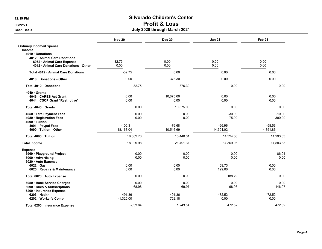Cash Basis July 2020 through March 2021

|                                               | <b>Nov 20</b>          | <b>Dec 20</b>         | Jan 21                | Feb <sub>21</sub>     |
|-----------------------------------------------|------------------------|-----------------------|-----------------------|-----------------------|
| <b>Ordinary Income/Expense</b>                |                        |                       |                       |                       |
| <b>Income</b>                                 |                        |                       |                       |                       |
| 4010 Donations<br>4012 Animal Care Donations  |                        |                       |                       |                       |
| 6962 · Animal Care Expense                    | $-32.75$               | 0.00                  | 0.00                  | 0.00                  |
| 4012 · Animal Care Donations - Other          | 0.00                   | 0.00                  | 0.00                  | 0.00                  |
| Total 4012 Animal Care Donations              | $-32.75$               | 0.00                  | 0.00                  | 0.00                  |
| 4010 Donations - Other                        | 0.00                   | 376.30                | 0.00                  | 0.00                  |
| Total 4010 · Donations                        | $-32.75$               | 376.30                | 0.00                  | 0.00                  |
| 4040 Grants                                   |                        |                       |                       |                       |
| 4046 CARES Act Grant                          | 0.00                   | 10,675.00             | 0.00                  | 0.00                  |
| 4044 · CSCP Grant *Restrictive*               | 0.00                   | 0.00                  | 0.00                  | 0.00                  |
| Total 4040 Grants                             | 0.00                   | 10,675.00             | 0.00                  | 0.00                  |
| 4050 · Late Payment Fees                      | 0.00                   | 0.00                  | $-30.00$              | $-10.00$              |
| 4080 · Registration Fees                      | 0.00                   | 0.00                  | 75.00                 | 300.00                |
| 4090 · Tuition                                |                        |                       |                       |                       |
| 4091 · Paypal Fees<br>4090 · Tuition - Other  | $-100.31$<br>18,163.04 | $-76.68$<br>10,516.69 | $-66.96$<br>14,391.02 | $-58.53$<br>14,351.86 |
|                                               |                        |                       |                       |                       |
| Total 4090 · Tuition                          | 18.062.73              | 10.440.01             | 14,324.06             | 14,293.33             |
| <b>Total Income</b>                           | 18,029.98              | 21,491.31             | 14,369.06             | 14,583.33             |
| Expense                                       |                        |                       |                       |                       |
| 6969 · Playground Project<br>6000 Advertising | 0.00<br>0.00           | 0.00<br>0.00          | 0.00<br>0.00          | 86.04<br>0.00         |
| 6020 Auto Expense                             |                        |                       |                       |                       |
| $6022 \cdot Gas$                              | 0.00                   | 0.00                  | 59.73                 | 0.00                  |
| 6025 · Repairs & Maintenance                  | 0.00                   | 0.00                  | 129.06                | 0.00                  |
| Total 6020 · Auto Expense                     | 0.00                   | 0.00                  | 188.79                | 0.00                  |
| 6050 · Bank Service Charges                   | 0.00                   | 0.00                  | 0.00                  | 0.00                  |
| 6090 · Dues & Subscriptions                   | 68.98                  | 69.97                 | 68.98                 | 146.97                |
| 6200 · Insurance Expense                      |                        |                       |                       |                       |
| 6203 Health                                   | 491.36                 | 491.36                | 472.52                | 472.52                |
| 6202 · Worker's Comp                          | $-1,325.00$            | 752.18                | 0.00                  | 0.00                  |
| Total 6200 · Insurance Expense                | $-833.64$              | 1,243.54              | 472.52                | 472.52                |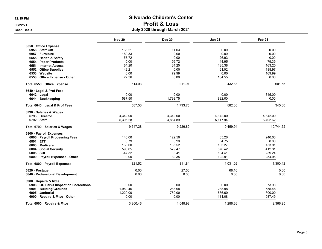|                                      | <b>Nov 20</b> | <b>Dec 20</b> | <b>Jan 21</b> | Feb <sub>21</sub> |
|--------------------------------------|---------------|---------------|---------------|-------------------|
| 6550 Office Expense                  |               |               |               |                   |
| 6958 Staff Gift                      | 138.21        | 11.03         | 0.00          | 0.00              |
| 6957 · Furniture                     | 189.33        | 0.00          | 0.00          | 0.00              |
| 6555 · Health & Safety               | 57.72         | 0.00          | 26.93         | 0.00              |
| 6554 · Paper Products                | 0.00          | 56.72         | 44.95         | 79.39             |
| 6551 Internet Access                 | 64.20         | 64.20         | 135.38        | 163.20            |
| 6552 Office Supplies                 | 142.21        | 0.00          | 61.02         | 188.97            |
| 6553 Website                         | 0.00          | 79.99         | 0.00          | 169.99            |
| 6550 Office Expense - Other          | 22.36         | 0.00          | 164.55        | 0.00              |
| Total 6550 · Office Expense          | 614.03        | 211.94        | 432.83        | 601.55            |
| 6640 Legal & Prof Fees               |               |               |               |                   |
| $6642 \cdot$ Legal                   | 0.00          | 0.00          | 0.00          | 345.00            |
| 6644 · Bookkeeping                   | 587.50        | 1,793.75      | 882.00        | 0.00              |
| Total 6640 · Legal & Prof Fees       | 587.50        | 1,793.75      | 882.00        | 345.00            |
| 6790 · Salaries & Wages              |               |               |               |                   |
| 6793 Director                        | 4,342.00      | 4,342.00      | 4,342.00      | 4,342.00          |
| 6792 Staff                           | 5,305.28      | 4,884.89      | 5,117.94      | 6,402.62          |
| Total 6790 · Salaries & Wages        | 9,647.28      | 9,226.89      | 9,459.94      | 10,744.62         |
| 6800 · Payroll Expenses              |               |               |               |                   |
| 6806 · Payroll Processing Fees       | 140.00        | 122.50        | 85.26         | 240.00            |
| 6801 ETT                             | 0.79          | 0.29          | 4.75          | 0.00              |
| 6803 Medicare                        | 138.00        | 135.52        | 135.27        | 153.91            |
| 6804 Social Security                 | 590.05        | 579.47        | 578.42        | 412.31            |
| $6805 \cdot SUI$                     | $-47.32$      | 6.41          | 104.41        | 239.24            |
| 6800 · Payroll Expenses - Other      | 0.00          | $-32.35$      | 122.91        | 254.96            |
| Total 6800 · Payroll Expenses        | 821.52        | 811.84        | 1,031.02      | 1,300.42          |
| 6820 · Postage                       | 0.00          | 27.50         | 68.10         | 0.00              |
| 6840 · Professional Development      | 0.00          | 0.00          | 0.00          | 0.00              |
| 6900 · Repairs & Mtce                |               |               |               |                   |
| 6908 OC Parks Inspection Corrections | 0.00          | 0.00          | 0.00          | 73.98             |
| 6901 · Building/Grounds              | 1,980.46      | 288.98        | 288.98        | 555.48            |
| 6905 Janitorial                      | 1,220.00      | 760.00        | 886.60        | 800.00            |
| 6900 · Repairs & Mtce - Other        | 0.00          | 0.00          | 111.08        | 937.49            |
| Total 6900 · Repairs & Mtce          | 3,200.46      | 1,048.98      | 1.286.66      | 2.366.95          |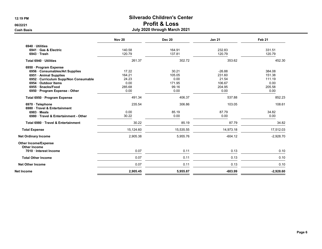Cash Basis July 2020 through March 2021

|                                                                  | <b>Nov 20</b> | <b>Dec 20</b> | <b>Jan 21</b> | Feb <sub>21</sub> |
|------------------------------------------------------------------|---------------|---------------|---------------|-------------------|
| 6940 Utilities                                                   |               |               |               |                   |
| 6941 Gas & Electric                                              | 140.58        | 164.91        | 232.83        | 331.51            |
| $6943$ Trash                                                     | 120.79        | 137.81        | 120.79        | 120.79            |
| Total 6940 · Utilities                                           | 261.37        | 302.72        | 353.62        | 452.30            |
| 6950 · Program Expense                                           |               |               |               |                   |
| 6956 Consumables/Art Supplies                                    | 17.22         | 30.21         | $-26.88$      | 384.08            |
| 6951 Animal Supplies                                             | 164.21        | 105.05        | 231.60        | 151.38            |
| 6952 · Curriculum Supp/Non Consumable                            | 24.23         | 0.00          | 21.54         | 111.19            |
| 6954 Outdoor Items                                               | 0.00          | 171.95        | 106.67        | 0.00              |
| 6955 · Snacks/Food                                               | 285.68        | 99.16         | 204.95        | 205.58            |
| 6950 · Program Expense - Other                                   | 0.00          | 0.00          | 0.00          | 0.00              |
| Total 6950 · Program Expense                                     | 491.34        | 406.37        | 537.88        | 852.23            |
| 6970 · Telephone                                                 | 235.54        | 306.86        | 103.05        | 108.61            |
| 6980 · Travel & Entertainment                                    | 0.00          | 85.19         | 87.79         | 34.82             |
| $6983 \cdot \text{Meals}$<br>6980 Travel & Entertainment - Other | 30.22         | 0.00          | 0.00          | 0.00              |
|                                                                  |               |               |               |                   |
| Total 6980 Travel & Entertainment                                | 30.22         | 85.19         | 87.79         | 34.82             |
| <b>Total Expense</b>                                             | 15.124.60     | 15,535.55     | 14,973.18     | 17,512.03         |
| <b>Net Ordinary Income</b>                                       | 2,905.38      | 5,955.76      | $-604.12$     | $-2,928.70$       |
| <b>Other Income/Expense</b>                                      |               |               |               |                   |
| <b>Other Income</b>                                              |               |               |               |                   |
| 7010 · Interest Income                                           | 0.07          | 0.11          | 0.13          | 0.10              |
| <b>Total Other Income</b>                                        | 0.07          | 0.11          | 0.13          | 0.10              |
| <b>Net Other Income</b>                                          | 0.07          | 0.11          | 0.13          | 0.10              |
| Net Income                                                       | 2,905.45      | 5,955.87      | $-603.99$     | $-2,928.60$       |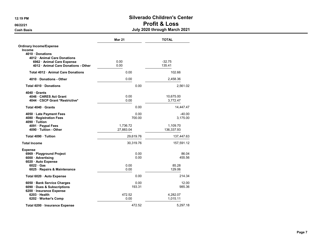|                                                                    | <b>Mar 21</b> | <b>TOTAL</b>       |
|--------------------------------------------------------------------|---------------|--------------------|
| <b>Ordinary Income/Expense</b>                                     |               |                    |
| Income                                                             |               |                    |
| 4010 Donations                                                     |               |                    |
| 4012 Animal Care Donations                                         |               |                    |
| 6962 · Animal Care Expense<br>4012 · Animal Care Donations - Other | 0.00          | $-32.75$<br>135.41 |
|                                                                    | 0.00          |                    |
| <b>Total 4012 • Animal Care Donations</b>                          | 0.00          | 102.66             |
| 4010 Donations - Other                                             | 0.00          | 2.458.36           |
| Total 4010 Donations                                               | 0.00          | 2,561.02           |
| 4040 Grants                                                        |               |                    |
| 4046 CARES Act Grant                                               | 0.00          | 10,675.00          |
| 4044 CSCP Grant *Restrictive*                                      | 0.00          | 3,772.47           |
| Total 4040 Grants                                                  | 0.00          | 14,447.47          |
| 4050 · Late Payment Fees                                           | 0.00          | $-40.00$           |
| 4080 · Registration Fees                                           | 700.00        | 3,175.00           |
| 4090 Tuition                                                       |               |                    |
| 4091 · Paypal Fees                                                 | 1,736.72      | 1,109.70           |
| 4090 · Tuition - Other                                             | 27,883.04     | 136,337.93         |
|                                                                    |               |                    |
| Total 4090 · Tuition                                               | 29,619.76     | 137,447.63         |
| <b>Total Income</b>                                                | 30,319.76     | 157,591.12         |
| <b>Expense</b>                                                     |               |                    |
| 6969 · Playground Project                                          | 0.00          | 86.04              |
| 6000 · Advertising                                                 | 0.00          | 455.56             |
| 6020 · Auto Expense                                                |               |                    |
| $6022 \cdot Gas$                                                   | 0.00          | 85.28              |
| 6025 · Repairs & Maintenance                                       | 0.00          | 129.06             |
| Total 6020 · Auto Expense                                          | 0.00          | 214.34             |
| 6050 Bank Service Charges                                          | 0.00          | 12.00              |
| 6090 · Dues & Subscriptions                                        | 193.31        | 985.36             |
| 6200 · Insurance Expense                                           |               |                    |
| $6203 \cdot$ Health                                                | 472.52        | 4,282.07           |
| 6202 · Worker's Comp                                               | 0.00          | 1,015.11           |
| Total 6200 · Insurance Expense                                     | 472.52        | 5,297.18           |
|                                                                    |               |                    |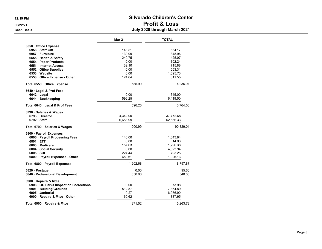|                                      | <b>Mar 21</b> | <b>TOTAL</b> |
|--------------------------------------|---------------|--------------|
| 6550 Office Expense                  |               |              |
| 6958 Staff Gift                      | 148.51        | 554.17       |
| 6957 · Furniture                     | 139.99        | 348.96       |
| 6555 · Health & Safety               | 240.75        | 425.07       |
| 6554 · Paper Products                | 0.00          | 302.24       |
| 6551 · Internet Access               | 32.10         | 715.88       |
| 6552 Office Supplies                 | 0.00          | 553.31       |
| 6553 Website                         | 0.00          | 1,025.73     |
| 6550 Office Expense - Other          | 124.64        | 311.55       |
| Total 6550 · Office Expense          | 685.99        | 4,236.91     |
| 6640 · Legal & Prof Fees             |               |              |
| $6642 \cdot$ Legal                   | 0.00          | 345.00       |
| 6644 · Bookkeeping                   | 596.25        | 6,419.50     |
| Total 6640 · Legal & Prof Fees       | 596.25        | 6,764.50     |
| 6790 · Salaries & Wages              |               |              |
| 6793 Director                        | 4,342.00      | 37,772.68    |
| $6792 \cdot$ Staff                   | 6,658.99      | 52,556.33    |
| Total 6790 · Salaries & Wages        | 11,000.99     | 90,329.01    |
| 6800 · Payroll Expenses              |               |              |
| 6806 · Payroll Processing Fees       | 140.00        | 1,043.84     |
| 6801 ETT                             | 0.00          | 14.93        |
| 6803 Medicare                        | 157.63        | 1,296.38     |
| 6804 · Social Security               | 0.00          | 4,623.34     |
| 6805 · SUI                           | 224.44        | 793.25       |
| 6800 · Payroll Expenses - Other      | 680.61        | 1,026.13     |
| Total 6800 · Payroll Expenses        | 1,202.68      | 8,797.87     |
| 6820 · Postage                       | 0.00          | 95.60        |
| 6840 · Professional Development      | 650.00        | 540.00       |
| 6900 · Repairs & Mtce                |               |              |
| 6908 OC Parks Inspection Corrections | 0.00          | 73.98        |
| 6901 · Building/Grounds              | 512.87        | 7,364.89     |
| 6905 Janitorial                      | 19.27         | 6,936.90     |
| 6900 · Repairs & Mtce - Other        | $-160.62$     | 887.95       |
| Total 6900 · Repairs & Mtce          | 371.52        | 15,263.72    |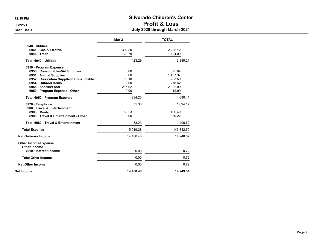|                                                    | <b>Mar 21</b> | <b>TOTAL</b> |
|----------------------------------------------------|---------------|--------------|
| 6940 Utilities                                     |               |              |
| 6941 Gas & Electric                                | 302.50        | 2,285.12     |
| $6943 \cdot$ Trash                                 | 120.79        | 1,104.09     |
| Total 6940 · Utilities                             | 423.29        | 3.389.21     |
| 6950 · Program Expense                             |               |              |
| 6956 Consumables/Art Supplies                      | 0.00          | 695.84       |
| 6951 Animal Supplies                               | 0.00          | 1.497.37     |
| 6952 Curriculum Supp/Non Consumable                | 19.18         | 203.50       |
| 6954 · Outdoor Items                               | 0.00          | 278.62       |
| 6955 · Snacks/Food                                 | 215.02        | 2,002.09     |
| 6950 · Program Expense - Other                     | 0.00          | 12.99        |
| Total 6950 · Program Expense                       | 234.20        | 4,690.41     |
| 6970 · Telephone<br>6980 · Travel & Entertainment  | 35.30         | 1,694.17     |
| 6983 Meals                                         | 53.23         | 460.40       |
| 6980 Travel & Entertainment - Other                | 0.00          | 30.22        |
| Total 6980 Travel & Entertainment                  | 53.23         | 490.62       |
| <b>Total Expense</b>                               | 15,919.28     | 143,342.50   |
| <b>Net Ordinary Income</b>                         | 14,400.48     | 14,248.62    |
| <b>Other Income/Expense</b><br><b>Other Income</b> |               |              |
| 7010 Interest Income                               | 0.00          | 0.72         |
| <b>Total Other Income</b>                          | 0.00          | 0.72         |
| <b>Net Other Income</b>                            | 0.00          | 0.72         |
| <b>Net Income</b>                                  | 14,400.48     | 14,249.34    |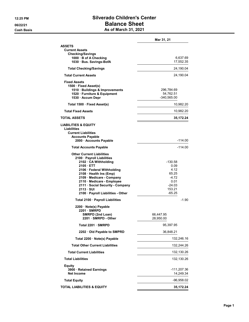#### 12:25 PM Silverado Children's Center 06/22/21 **Balance Sheet Cash Basis** Cash Basis **As of March 31, 2021**

|                                                                                                                                                                                                                                                                                                               | Mar 31, 21                                                                        |
|---------------------------------------------------------------------------------------------------------------------------------------------------------------------------------------------------------------------------------------------------------------------------------------------------------------|-----------------------------------------------------------------------------------|
| <b>ASSETS</b><br><b>Current Assets</b><br><b>Checking/Savings</b><br>1000 · B of A Checking<br>1030 Bus. Savings-BofA                                                                                                                                                                                         | 6,637.69<br>17,552.35                                                             |
| <b>Total Checking/Savings</b>                                                                                                                                                                                                                                                                                 | 24,190.04                                                                         |
| <b>Total Current Assets</b>                                                                                                                                                                                                                                                                                   | 24,190.04                                                                         |
| <b>Fixed Assets</b><br>1500 · Fixed Asset(s)<br>1510 · Buildings & Improvements<br>1520 · Furniture & Equipment<br>1530 · Accum Depr                                                                                                                                                                          | 296,784.69<br>54,762.51<br>-340,565.00                                            |
| Total 1500 · Fixed Asset(s)                                                                                                                                                                                                                                                                                   | 10,982.20                                                                         |
| <b>Total Fixed Assets</b>                                                                                                                                                                                                                                                                                     | 10,982.20                                                                         |
| <b>TOTAL ASSETS</b>                                                                                                                                                                                                                                                                                           | 35,172.24                                                                         |
| <b>LIABILITIES &amp; EQUITY</b><br>Liabilities<br><b>Current Liabilities</b><br><b>Accounts Payable</b><br>2000 Accounts Payable                                                                                                                                                                              | -114.00                                                                           |
| <b>Total Accounts Payable</b>                                                                                                                                                                                                                                                                                 | $-114.00$                                                                         |
| <b>Other Current Liabilities</b><br>2100 · Payroll Liabilities<br>2102 CA Withholding<br>2105 ETT<br>2106 · Federal Withholding<br>2108 Health Ins (Emp)<br>2109 Medicare - Company<br>2110 Medicare - Employee<br>2111 · Social Security - Company<br>$2113 \cdot SUI$<br>2100 · Payroll Liabilities - Other | -130.58<br>0.09<br>4.12<br>65.25<br>-4.72<br>0.01<br>-24.03<br>153.21<br>$-65.25$ |
| Total 2100 · Payroll Liabilities                                                                                                                                                                                                                                                                              | $-1.90$                                                                           |
| 2200 · Note(s) Payable<br>$2201 \cdot$ SMRPD<br>SMRPD (2nd Loan)<br>2201 SMRPD - Other<br>Total 2201 · SMRPD                                                                                                                                                                                                  | 66,447.95<br>28,950.00<br>95,397.95                                               |
| 2202 Old Payable to SMPRD                                                                                                                                                                                                                                                                                     | 36,848.21                                                                         |
| Total 2200 · Note(s) Payable                                                                                                                                                                                                                                                                                  | 132,246.16                                                                        |
| <b>Total Other Current Liabilities</b>                                                                                                                                                                                                                                                                        | 132,244.26                                                                        |
| <b>Total Current Liabilities</b>                                                                                                                                                                                                                                                                              | 132,130.26                                                                        |
| <b>Total Liabilities</b>                                                                                                                                                                                                                                                                                      | 132,130.26                                                                        |
| <b>Equity</b><br>3900 · Retained Earnings<br><b>Net Income</b>                                                                                                                                                                                                                                                | -111,207.36<br>14,249.34                                                          |
| <b>Total Equity</b>                                                                                                                                                                                                                                                                                           | $-96,958.02$                                                                      |
| <b>TOTAL LIABILITIES &amp; EQUITY</b>                                                                                                                                                                                                                                                                         | 35,172.24                                                                         |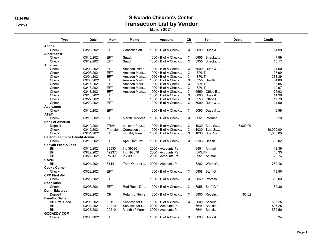#### 12:24 PM Silverado Children's Center 06/22/21 Observice Contraction Cist by Vendor March 2021

Type Date Num Memo Account Clr Split Debit Credit Adobe Check 03/23/2021 EFT Cancelled aft... 1000 · B of A Check... X 6090 · Dues & ... 14.99 Albertson's Check 03/15/2021 EFT Snack 1000 · B of A Check... X 6955 · Snacks/... 7.99 Check 03/19/2021 EFT Snack 1000 · B of A Check... X 6955 · Snacks/... 13.17 Amazon.com Check 03/01/2021 EFT Amazon Prime 1000 · B of A Check... X 6090 · Dues & ... 14.00 Check 03/03/2021 EFT Amazon Mark... 1000 · B of A Check... X Check 03/04/2021 EFT Amazon Mark... 1000 · B of A Check... X -SPLIT- 231.39 Check 03/08/2021 EFT Amazon Mark... 1000 · B of A Check... X 6555 · Health ... 84.00 03/16/2021 EFT Amazon Mark... 1000 · B of A Check... X -SPLIT- 33.05<br>03/18/2021 EFT Amazon Mark... 1000 · B of A Check... X -SPLIT- 119.97 Check 03/18/2021 EFT Amazon Mark... 1000 · B of A Check... Check 03/18/2021 EFT Amazon Mark... 1000 · B of A Check... X 6550 · Office E... 26.93 Check 03/18/2021 EFT 1000 · B of A Check... X 6090 · Dues & ... 14.99 Check 03/22/2021 EFT 1000 · B of A Check... X 6550 · Office E... 17.79 Check 03/29/2021 EFT 1000 · B of A Check... X 6090 · Dues & ... 14.00 Apple.com Check 03/10/2021 EFT 1000 · B of A Check... X 6090 · Dues & ... 0.99 AT&T Check 03/19/2021 EFT March Services 1000 · B of A Check... X 6551 · Internet ... 32.10 **Bank of America**<br>Deposit 03/12/2021 TRAN... to cover Payr... 1000 · B of A Check... X 1030 · Bus. Sa... 5,000.00 Check 03/12/2021 Transfer Correction an... 1000 · B of A Check... X 1030 · Bus. Sa... 10,000.00 Check 03/31/2021 EFT monthly transf... 1000 · B of A Check... X 1030 · Bus. Sa... 1,000.00 California Choice Benefit Admin Check 03/19/2021 EFT April 2021 Inv... 1000 · B of A Check... X 6203 · Health 603.02 Canyon Feed & Tack Bill 03/15/2021 39530 Inv 39530 2000 · Accounts Pa... 6951 · Animal ... 12.39 Bill 03/22/2021 192370 Inv 192370 2000 · Accounts Pa... - SPLIT- - - - - - - - - - - - - - 46.33 Bill 03/22/2021 Inv 39... Inv 39662 2000 · Accounts Pa... 6951 · Animal ... 20.74 CAPRI Bill 03/01/2021 5144 Third Quarter ... 2000 · Accounts Pa... 6202 · Worker'... 752.18 Cooks Corner Check 03/22/2021 EFT 1000 · B of A Check... X 6958 · Staff Gift 13.80 CPR First Aid Check 03/29/2021 EFT 1000 · B of A Check... X 6840 · Professi... 650.00 Door Dash<br>Check 03/05/2021 EFT Red Robin De... 1000 · B of A Check... X 6958 · Staff Gift 62.30 Dunn-Edwards Deposit 63/23/2021 CR Return of Items 1000 · B of A Check... X 6900 · Repairs... 160.62 Fanello, Diana Bill Pmt -Check 03/01/2021 8311 Services for t... 1000 · B of A Check... X 2000 · Account... 696.25 Bill 03/04/2021 20210... Services for t... 2000 · Accounts Pa... 6644 · Bookke... 596.25  $2000 \cdot$  Accounts Pa... GODADDY.COM<br>Check 03/08/2021 EFT 1000 · B of A Check... X 6090 · Dues & ... 36.34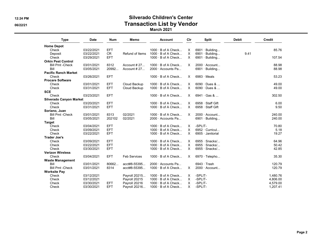#### 12:24 PM Silverado Children's Center 06/22/21 Contraction List by Vendor March 2021

| Type                           | <b>Date</b> | <b>Num</b> | Memo                | Account                   | Cir      | Split                 | <b>Debit</b> | Credit   |
|--------------------------------|-------------|------------|---------------------|---------------------------|----------|-----------------------|--------------|----------|
| <b>Home Depot</b>              |             |            |                     |                           |          |                       |              |          |
| Check                          | 03/22/2021  | <b>EFT</b> |                     | $1000 \cdot B$ of A Check | X        | $6901 \cdot$ Building |              | 85.76    |
| Deposit                        | 03/22/2021  | CR         | Refund of Items     | $1000 \cdot B$ of A Check | $\times$ | $6901 \cdot$ Building | 9.41         |          |
| Check                          | 03/29/2021  | <b>EFT</b> |                     | 1000 · B of A Check       | $\times$ | $6901 \cdot$ Building |              | 107.54   |
| <b>Orkin Pest Control</b>      |             |            |                     |                           |          |                       |              |          |
| <b>Bill Pmt -Check</b>         | 03/01/2021  | 8312       | Account # 27        | $1000 \cdot B$ of A Check | X        | 2000 · Account        |              | 88.98    |
| Bill                           | 03/05/2021  | 20992      | Account # 27        | 2000 Accounts Pa          |          | $6901 \cdot$ Building |              | 88.98    |
| <b>Pacific Ranch Market</b>    |             |            |                     |                           |          |                       |              |          |
| Check                          | 03/26/2021  | <b>EFT</b> |                     | $1000 \cdot B$ of A Check | X        | $6983 \cdot$ Meals    |              | 53.23    |
| <b>Procare Software</b>        |             |            |                     |                           |          |                       |              |          |
| Check                          | 03/01/2021  | <b>EFT</b> | Cloud Backup        | $1000 \cdot B$ of A Check | Χ        | $6090 \cdot$ Dues &   |              | 49.00    |
| Check                          | 03/31/2021  | <b>EFT</b> | Cloud Backup        | $1000 \cdot B$ of A Check | $\times$ | 6090 · Dues &         |              | 49.00    |
| <b>SCE</b>                     |             |            |                     |                           |          |                       |              |          |
| Check                          | 03/23/2021  | <b>EFT</b> |                     | $1000 \cdot B$ of A Check | $\times$ | $6941 \cdot$ Gas &    |              | 302.50   |
| <b>Silverado Canyon Market</b> |             |            |                     |                           |          |                       |              |          |
| Check                          | 03/20/2021  | <b>EFT</b> |                     | $1000 \cdot B$ of A Check | X        | 6958 · Staff Gift     |              | 6.00     |
| Check                          | 03/31/2021  | <b>EFT</b> |                     | $1000 \cdot B$ of A Check | $\times$ | 6958 · Staff Gift     |              | 9.50     |
| Soriano, Juan                  |             |            |                     |                           |          |                       |              |          |
| <b>Bill Pmt - Check</b>        | 03/01/2021  | 8313       | 02/2021             | $1000 \cdot B$ of A Check | X        | $2000 \cdot$ Account  |              | 240.00   |
| Bill                           | 03/05/2021  | 202102     | 02/2021             | 2000 · Accounts Pa        |          | $6901 \cdot$ Building |              | 240.00   |
| <b>Target</b>                  |             |            |                     |                           |          |                       |              |          |
| Check                          | 03/04/2021  | <b>EFT</b> |                     | $1000 \cdot B$ of A Check | X        | -SPLIT-               |              | 70.80    |
| Check                          | 03/09/2021  | <b>EFT</b> |                     | $1000 \cdot B$ of A Check | $\times$ | 6952 · Curricul       |              | 5.18     |
| Check                          | 03/22/2021  | <b>EFT</b> |                     | $1000 \cdot B$ of A Check | $\times$ | 6905 · Janitorial     |              | 19.27    |
| <b>Trader Joe's</b>            |             |            |                     |                           |          |                       |              |          |
| Check                          | 03/09/2021  | <b>EFT</b> |                     | $1000 \cdot B$ of A Check | X        | $6955 \cdot$ Snacks/  |              | 64.96    |
| Check                          | 03/22/2021  | <b>EFT</b> |                     | $1000 \cdot B$ of A Check | $\times$ | $6955 \cdot$ Snacks/  |              | 50.42    |
| Check                          | 03/30/2021  | <b>EFT</b> |                     | $1000 \cdot B$ of A Check | $\times$ | $6955 \cdot$ Snacks/  |              | 42.85    |
| <b>Verizon Wireless</b>        |             |            |                     |                           |          |                       |              |          |
| Check                          | 03/04/2021  | <b>EFT</b> | <b>Feb Services</b> | $1000 \cdot B$ of A Check | X        | $6970 \cdot$ Telepho  |              | 35.30    |
| <b>Waste Management</b>        |             |            |                     |                           |          |                       |              |          |
| Bill                           | 03/01/2021  | 80662      | acct#8-55395        | 2000 Accounts Pa          |          | $6943 \cdot$ Trash    |              | 120.79   |
| <b>Bill Pmt -Check</b>         | 03/01/2021  | 8314       | acct#8-55395        | $1000 \cdot B$ of A Check | $\times$ | 2000 · Account        |              | 120.79   |
| <b>Worksite Pay</b>            |             |            |                     |                           |          |                       |              |          |
| Check                          | 03/12/2021  |            | Payroll 20215       | $1000 \cdot B$ of A Check | X        | -SPLIT-               |              | 1,480.76 |
| Check                          | 03/12/2021  |            | Payroll 20215       | $1000 \cdot B$ of A Check | $\times$ | -SPLIT-               |              | 4,806.00 |
| Check                          | 03/30/2021  | EFT        | Payroll 20216       | $1000 \cdot B$ of A Check | х        | -SPLIT-               |              | 4,579.00 |
| Check                          | 03/30/2021  | <b>EFT</b> | Payroll 20216       | 1000 · B of A Check       | X        | -SPLIT-               |              | 1,207.41 |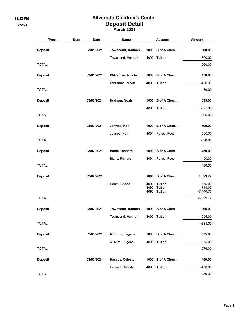## 12:22 PM Silverado Children's Center 06/22/21 Deposit Detail

March 2021

| <b>Type</b>    | Num | <b>Date</b> | Name                  | <b>Account</b>                         | <b>Amount</b>          |
|----------------|-----|-------------|-----------------------|----------------------------------------|------------------------|
| <b>Deposit</b> |     | 03/01/2021  | Townsend, Hannah      | 1000 · B of A Chec                     | 500.00                 |
|                |     |             | Townsend, Hannah      | 4090 · Tuition                         | $-500.00$              |
| <b>TOTAL</b>   |     |             |                       |                                        | $-500.00$              |
| <b>Deposit</b> |     | 03/01/2021  | Witzeman, Nicole      | 1000 B of A Chec                       | 450.00                 |
|                |     |             | Witzeman, Nicole      | $4090 \cdot$ Tuition                   | $-450.00$              |
| <b>TOTAL</b>   |     |             |                       |                                        | -450.00                |
| <b>Deposit</b> |     | 03/02/2021  | Hudson, Noah          | 1000 B of A Chec                       | 695.00                 |
|                |     |             |                       | $4090 \cdot$ Tuition                   | $-695.00$              |
| <b>TOTAL</b>   |     |             |                       |                                        | $-695.00$              |
| <b>Deposit</b> |     | 03/02/2021  | Jeffries, Kati        | 1000 B of A Chec                       | 590.00                 |
|                |     |             | Jeffries, Kati        | 4091 · Paypal Fees                     | $-590.00$              |
| <b>TOTAL</b>   |     |             |                       |                                        | $-590.00$              |
| <b>Deposit</b> |     | 03/02/2021  | <b>Blanc, Richard</b> | 1000 B of A Chec                       | 450.00                 |
|                |     |             | Blanc, Richard        | 4091 · Paypal Fees                     | $-450.00$              |
| <b>TOTAL</b>   |     |             |                       |                                        | $-450.00$              |
| <b>Deposit</b> |     | 03/02/2021  |                       | 1000 B of A Chec                       | 8,829.77               |
|                |     |             | Daum, Alyssa          | $4090 \cdot$ Tuition<br>4090 · Tuition | $-975.00$<br>$-714.07$ |
|                |     |             |                       | 4090 · Tuition                         | $-7,140.70$            |
| <b>TOTAL</b>   |     |             |                       |                                        | $-8,829.77$            |
| <b>Deposit</b> |     | 03/02/2021  | Townsend, Hannah      | $1000 \cdot B$ of A Chec               | 295.00                 |
|                |     |             | Townsend, Hannah      | 4090 · Tuition                         | $-295.00$              |
| <b>TOTAL</b>   |     |             |                       |                                        | $-295.00$              |
| <b>Deposit</b> |     | 03/03/2021  | Milburn, Eugene       | 1000 · B of A Chec                     | 575.00                 |
|                |     |             | Milburn, Eugene       | $4090 \cdot$ Tuition                   | $-575.00$              |
| <b>TOTAL</b>   |     |             |                       |                                        | $-575.00$              |
| <b>Deposit</b> |     | 03/03/2021  | Hassey, Celeste       | 1000 · B of A Chec                     | 450.00                 |
|                |     |             | Hassey, Celeste       | 4090 · Tuition                         | $-450.00$              |
| <b>TOTAL</b>   |     |             |                       |                                        | $-450.00$              |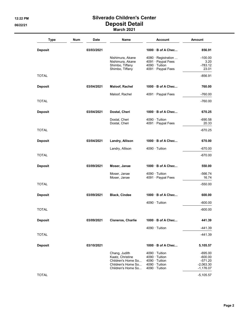## 12:22 PM Silverado Children's Center 06/22/21 Deposit Detail

| <b>Type</b>    | Num | Date       | Name                                     | Account                                    | <b>Amount</b>              |
|----------------|-----|------------|------------------------------------------|--------------------------------------------|----------------------------|
| <b>Deposit</b> |     | 03/03/2021 |                                          | $1000 \cdot B$ of A Chec                   | 856.91                     |
|                |     |            | Nishimura, Akane                         | $4080 \cdot$ Registration                  | $-100.00$                  |
|                |     |            | Nishimura, Akane<br>Shimbo, Tiffany      | 4091 · Paypal Fees<br>$4090 \cdot$ Tuition | 3.20<br>$-783.12$          |
|                |     |            | Shimbo, Tiffany                          | 4091 · Paypal Fees                         | 23.01                      |
| <b>TOTAL</b>   |     |            |                                          |                                            | -856.91                    |
| <b>Deposit</b> |     | 03/04/2021 | <b>Maloof, Rachel</b>                    | 1000 B of A Chec                           | 760.00                     |
|                |     |            | Maloof, Rachel                           | 4091 · Paypal Fees                         | $-760.00$                  |
| TOTAL          |     |            |                                          |                                            | $-760.00$                  |
| <b>Deposit</b> |     | 03/04/2021 | Dostal, Cheri                            | $1000 \cdot B$ of A Chec                   | 670.25                     |
|                |     |            | Dostal, Cheri                            | $4090 \cdot$ Tuition                       | $-690.58$                  |
|                |     |            | Dostal, Cheri                            | 4091 · Paypal Fees                         | 20.33                      |
| TOTAL          |     |            |                                          |                                            | $-670.25$                  |
| <b>Deposit</b> |     | 03/04/2021 | Landry, Allison                          | 1000 B of A Chec                           | 670.00                     |
|                |     |            | Landry, Allison                          | $4090 \cdot$ Tuition                       | $-670.00$                  |
| TOTAL          |     |            |                                          |                                            | $-670.00$                  |
| <b>Deposit</b> |     | 03/09/2021 | Moser, Janae                             | $1000$ B of A Chec                         | 550.00                     |
|                |     |            | Moser, Janae                             | $4090 \cdot$ Tuition                       | -566.74                    |
|                |     |            | Moser, Janae                             | 4091 · Paypal Fees                         | 16.74                      |
| TOTAL          |     |            |                                          |                                            | $-550.00$                  |
| <b>Deposit</b> |     | 03/09/2021 | <b>Black, Cindee</b>                     | 1000 B of A Chec                           | 600.00                     |
|                |     |            |                                          | $4090 \cdot$ Tuition                       | $-600.00$                  |
| TOTAL          |     |            |                                          |                                            | $-600.00$                  |
| <b>Deposit</b> |     | 03/09/2021 | Cisneros, Charlie                        | 1000 B of A Chec                           | 441.39                     |
|                |     |            |                                          | $4090 \cdot$ Tuition                       | -441.39                    |
| TOTAL          |     |            |                                          |                                            | $-441.39$                  |
| <b>Deposit</b> |     | 03/10/2021 |                                          | $1000 \cdot B$ of A Chec                   | 5,105.57                   |
|                |     |            | Chang, Judith                            | $4090 \cdot$ Tuition                       | -695.00                    |
|                |     |            | Kaatz, Christine                         | $4090 \cdot$ Tuition                       | $-600.00$                  |
|                |     |            | Children's Home So                       | 4090 · Tuition<br>4090 · Tuition           | $-571.20$                  |
|                |     |            | Children's Home So<br>Children's Home So | 4090 · Tuition                             | $-2,063.30$<br>$-1,176.07$ |
| <b>TOTAL</b>   |     |            |                                          |                                            | $-5,105.57$                |
|                |     |            |                                          |                                            |                            |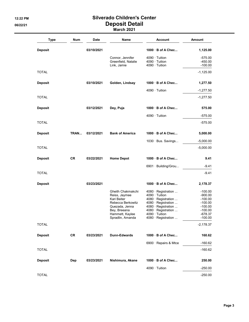#### 12:22 PM Silverado Children's Center 06/22/21 Deposit Detail March 2021

| <b>Type</b>    | Num       | <b>Date</b> | Name                                                                                                                                            | <b>Account</b>                                                                                                                                                                         | Amount                                                                                             |
|----------------|-----------|-------------|-------------------------------------------------------------------------------------------------------------------------------------------------|----------------------------------------------------------------------------------------------------------------------------------------------------------------------------------------|----------------------------------------------------------------------------------------------------|
| <b>Deposit</b> |           | 03/10/2021  |                                                                                                                                                 | $1000 \cdot B$ of A Chec                                                                                                                                                               | 1,125.00                                                                                           |
|                |           |             | Connor, Jennifer<br>Greenfield, Natalie<br>Link, Jamie                                                                                          | $4090 \cdot$ Tuition<br>$4090 \cdot$ Tuition<br>$4090 \cdot$ Tuition                                                                                                                   | $-575.00$<br>$-450.00$<br>$-100.00$                                                                |
| <b>TOTAL</b>   |           |             |                                                                                                                                                 |                                                                                                                                                                                        | $-1,125.00$                                                                                        |
| <b>Deposit</b> |           | 03/10/2021  | Golden, Lindsay                                                                                                                                 | 1000 B of A Chec                                                                                                                                                                       | 1,277.50                                                                                           |
|                |           |             |                                                                                                                                                 | $4090 \cdot$ Tuition                                                                                                                                                                   | $-1,277.50$                                                                                        |
| <b>TOTAL</b>   |           |             |                                                                                                                                                 |                                                                                                                                                                                        | $-1,277.50$                                                                                        |
| <b>Deposit</b> |           | 03/12/2021  | Dey, Puja                                                                                                                                       | $1000 \cdot B$ of A Chec                                                                                                                                                               | 575.00                                                                                             |
|                |           |             |                                                                                                                                                 | $4090 \cdot$ Tuition                                                                                                                                                                   | $-575.00$                                                                                          |
| <b>TOTAL</b>   |           |             |                                                                                                                                                 |                                                                                                                                                                                        | $-575.00$                                                                                          |
| <b>Deposit</b> | TRAN      | 03/12/2021  | <b>Bank of America</b>                                                                                                                          | $1000 \cdot B$ of A Chec                                                                                                                                                               | 5,000.00                                                                                           |
|                |           |             |                                                                                                                                                 | 1030 · Bus. Savings                                                                                                                                                                    | $-5,000.00$                                                                                        |
| <b>TOTAL</b>   |           |             |                                                                                                                                                 |                                                                                                                                                                                        | $-5,000.00$                                                                                        |
| <b>Deposit</b> | <b>CR</b> | 03/22/2021  | <b>Home Depot</b>                                                                                                                               | $1000 \cdot B$ of A Chec                                                                                                                                                               | 9.41                                                                                               |
|                |           |             |                                                                                                                                                 | 6901 · Building/Grou                                                                                                                                                                   | $-9.41$                                                                                            |
| <b>TOTAL</b>   |           |             |                                                                                                                                                 |                                                                                                                                                                                        | $-9.41$                                                                                            |
| <b>Deposit</b> |           | 03/23/2021  |                                                                                                                                                 | $1000 \cdot B$ of A Chec                                                                                                                                                               | 2,178.37                                                                                           |
|                |           |             | Gheith Chakmakchi<br>Reiss, Jaymee<br>Kari Beiter<br>Rebecca Berkowitz<br>Quezada, Jenna<br>Bey, Breeana<br>Hammett, Kaylee<br>Spradlin, Amanda | 4080 · Registration<br>$4090 \cdot$ Tuition<br>4080 · Registration<br>4080 · Registration<br>4080 · Registration<br>4080 · Registration<br>$4090 \cdot$ Tuition<br>4080 · Registration | $-100.00$<br>$-900.00$<br>$-100.00$<br>$-100.00$<br>$-100.00$<br>$-100.00$<br>-678.37<br>$-100.00$ |
| <b>TOTAL</b>   |           |             |                                                                                                                                                 |                                                                                                                                                                                        | $-2,178.37$                                                                                        |
| <b>Deposit</b> | CR        | 03/23/2021  | <b>Dunn-Edwards</b>                                                                                                                             | 1000 B of A Chec                                                                                                                                                                       | 160.62                                                                                             |
|                |           |             |                                                                                                                                                 | 6900 · Repairs & Mtce                                                                                                                                                                  | $-160.62$                                                                                          |
| <b>TOTAL</b>   |           |             |                                                                                                                                                 |                                                                                                                                                                                        | $-160.62$                                                                                          |
| <b>Deposit</b> | Dep       | 03/23/2021  | Nishimura, Akane                                                                                                                                | 1000 · B of A Chec                                                                                                                                                                     | 250.00                                                                                             |
|                |           |             |                                                                                                                                                 | 4090 · Tuition                                                                                                                                                                         | $-250.00$                                                                                          |
| <b>TOTAL</b>   |           |             |                                                                                                                                                 |                                                                                                                                                                                        | $-250.00$                                                                                          |